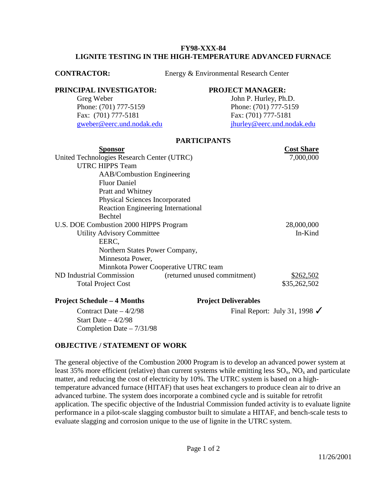### **FY98-XXX-84 LIGNITE TESTING IN THE HIGH-TEMPERATURE ADVANCED FURNACE**

**CONTRACTOR:** Energy & Environmental Research Center

### **PRINCIPAL INVESTIGATOR: PROJECT MANAGER:**

Greg Weber John P. Hurley, Ph.D. Phone: (701) 777-5159 Phone: (701) 777-5159 Fax: (701) 777-5181 Fax: (701) 777-5181

[gweber@eerc.und.nodak.edu](mailto:gweber@eerc.und.nodak.edu)j[hurley@eerc.und.nodak.edu](mailto:jhurley@eerc.und.nodak.edu)

## **PARTICIPANTS**

|                                            | <b>Cost Share</b> |
|--------------------------------------------|-------------------|
| United Technologies Research Center (UTRC) | 7,000,000         |
|                                            |                   |
| <b>AAB/Combustion Engineering</b>          |                   |
|                                            |                   |
|                                            |                   |
| <b>Physical Sciences Incorporated</b>      |                   |
| <b>Reaction Engineering International</b>  |                   |
|                                            |                   |
| U.S. DOE Combustion 2000 HIPPS Program     | 28,000,000        |
|                                            | In-Kind           |
|                                            |                   |
| Northern States Power Company,             |                   |
|                                            |                   |
| Minnkota Power Cooperative UTRC team       |                   |
| (returned unused commitment)               | \$262,502         |
|                                            | \$35,262,502      |
| <b>Project Deliverables</b>                |                   |
|                                            |                   |

Start Date  $-4/2/98$ Completion Date – 7/31/98

Contract Date –  $4/2/98$  Final Report: July 31, 1998  $\checkmark$ 

# **OBJECTIVE / STATEMENT OF WORK**

The general objective of the Combustion 2000 Program is to develop an advanced power system at least 35% more efficient (relative) than current systems while emitting less  $SO_x$ ,  $NO_x$  and particulate matter, and reducing the cost of electricity by 10%. The UTRC system is based on a hightemperature advanced furnace (HITAF) that uses heat exchangers to produce clean air to drive an advanced turbine. The system does incorporate a combined cycle and is suitable for retrofit application. The specific objective of the Industrial Commission funded activity is to evaluate lignite performance in a pilot-scale slagging combustor built to simulate a HITAF, and bench-scale tests to evaluate slagging and corrosion unique to the use of lignite in the UTRC system.